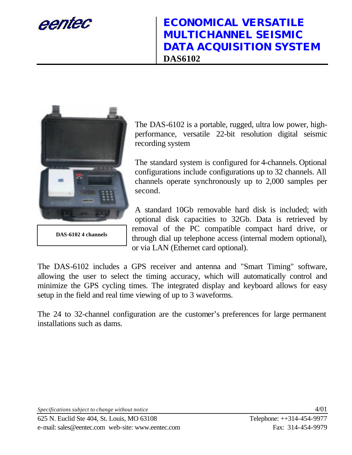eentec



**DAS-6102 4 channels**

The DAS-6102 is a portable, rugged, ultra low power, highperformance, versatile 22-bit resolution digital seismic recording system

The standard system is configured for 4-channels. Optional configurations include configurations up to 32 channels. All channels operate synchronously up to 2,000 samples per second.

A standard 10Gb removable hard disk is included; with optional disk capacities to 32Gb. Data is retrieved by removal of the PC compatible compact hard drive, or through dial up telephone access (internal modem optional), or via LAN (Ethernet card optional).

The DAS-6102 includes a GPS receiver and antenna and "Smart Timing" software, allowing the user to select the timing accuracy, which will automatically control and minimize the GPS cycling times. The integrated display and keyboard allows for easy setup in the field and real time viewing of up to 3 waveforms.

The 24 to 32-channel configuration are the customer's preferences for large permanent installations such as dams.

*Specifications subject to change without notice* 4/01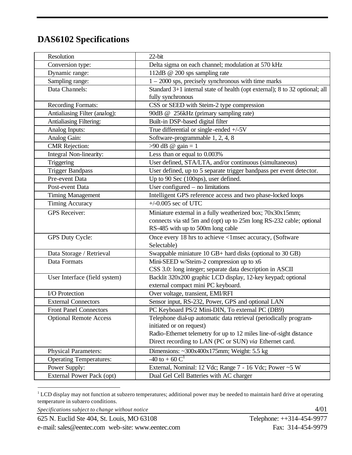## **DAS6102 Specifications**

| Resolution                     | $22$ -bit                                                                   |
|--------------------------------|-----------------------------------------------------------------------------|
| Conversion type:               | Delta sigma on each channel; modulation at 570 kHz                          |
| Dynamic range:                 | 112dB @ 200 sps sampling rate                                               |
| Sampling range:                | $1 - 2000$ sps, precisely synchronous with time marks                       |
| Data Channels:                 | Standard 3+1 internal state of health (opt external); 8 to 32 optional; all |
|                                | fully synchronous                                                           |
| <b>Recording Formats:</b>      | CSS or SEED with Steim-2 type compression                                   |
| Antialiasing Filter (analog):  | 90dB @ 256kHz (primary sampling rate)                                       |
| Antialiasing Filtering:        | Built-in DSP-based digital filter                                           |
| Analog Inputs:                 | True differential or single-ended $+/-5V$                                   |
| Analog Gain:                   | Software-programmable 1, 2, 4, 8                                            |
| <b>CMR</b> Rejection:          | $>90$ dB @ gain = 1                                                         |
| Integral Non-linearity:        | Less than or equal to 0.003%                                                |
| Triggering                     | User defined, STA/LTA, and/or continuous (simultaneous)                     |
| <b>Trigger Bandpass</b>        | User defined, up to 5 separate trigger bandpass per event detector.         |
| Pre-event Data                 | Up to 90 Sec (100sps), user defined.                                        |
| Post-event Data                | User configured $-$ no limitations                                          |
| <b>Timing Management</b>       | Intelligent GPS reference access and two phase-locked loops                 |
| <b>Timing Accuracy</b>         | $+/-0.005$ sec of UTC                                                       |
| <b>GPS</b> Receiver:           | Miniature external in a fully weatherized box; 70x30x15mm;                  |
|                                | connects via std 5m and (opt) up to 25m long RS-232 cable; optional         |
|                                | RS-485 with up to 500m long cable                                           |
| GPS Duty Cycle:                | Once every 18 hrs to achieve <1msec accuracy, (Software                     |
|                                | Selectable)                                                                 |
| Data Storage / Retrieval       | Swappable miniature 10 GB+ hard disks (optional to 30 GB)                   |
| Data Formats                   | Mini-SEED w/Steim-2 compression up to x6                                    |
|                                | CSS 3.0: long integer; separate data description in ASCII                   |
| User Interface (field system)  | Backlit 320x200 graphic LCD display, 12-key keypad; optional                |
|                                | external compact mini PC keyboard.                                          |
| I/O Protection                 | Over voltage, transient, EMI/RFI                                            |
| <b>External Connectors</b>     | Sensor input, RS-232, Power, GPS and optional LAN                           |
| <b>Front Panel Connectors</b>  | PC Keyboard PS/2 Mini-DIN, To external PC (DB9)                             |
| <b>Optional Remote Access</b>  | Telephone dial-up automatic data retrieval (periodically program-           |
|                                | initiated or on request)                                                    |
|                                | Radio-Ethernet telemetry for up to 12 miles line-of-sight distance          |
|                                | Direct recording to LAN (PC or SUN) via Ethernet card.                      |
| <b>Physical Parameters:</b>    | Dimensions: $\sim$ 300x400x175mm; Weight: 5.5 kg                            |
| <b>Operating Temperatures:</b> | -40 to + 60 $C^1$                                                           |
| Power Supply:                  | External, Nominal: 12 Vdc; Range 7 - 16 Vdc; Power ~5 W                     |
| External Power Pack (opt)      | Dual Gel Cell Batteries with AC charger                                     |

 $1^1$  LCD display may not function at subzero temperatures; additional power may be needed to maintain hard drive at operating temperature in subzero conditions.

 $\overline{a}$ 

*Specifications subject to change without notice*  $4/01$